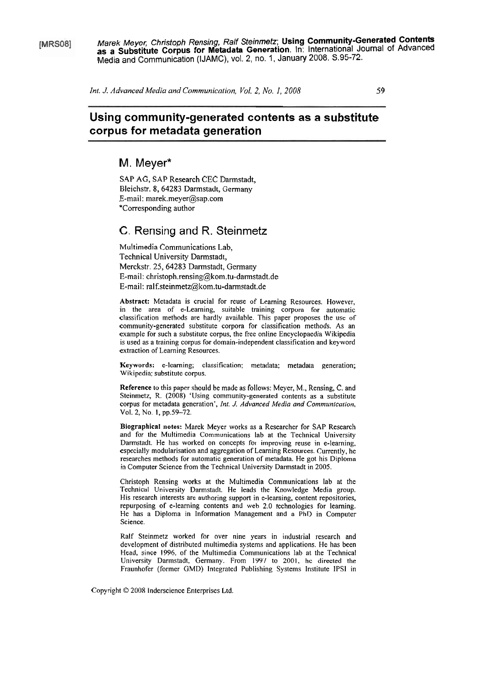Marek Meyer, Christoph Rensing, Ralf Steinmetz; Using Community-Generated Contents **as a Substitute Corpus for Metadata Generation.** In: International Journal of Advanced Media and Communication (IJAMC), vol. 2, no. 1, January 2008. S.95-72.

*Int. J. Advanced Media and Communication, Vol. 2, No. 1, 2008* 59

# **Using community-generated contents as a substitute corpus for metadata generation**

# **M. Meyer\***

SAP AG, SAP Research CEC Darmstadt, Bleichstr. 8,64283 Darmstadt, Germany E-mail: marek.meyer@sap.com \*Corresponding author

# C. Rensing and R. Steinmetz

Multimedia Communications Lab, Technical University Darmstadt, Merckstr. 25,64283 Darmstadt, Germany E-mail: **christoph.rensing@kom.tu-darmstadt.de**  E-mail: **ralf.steinmetz@kom.tu-darmstadt.de** 

Abstract: Metadata is crucial for reuse of Learning Resources. However, in the area of e-Learning, suitable training corpora for automatic classification methods are hardly available. This paper proposes the use of community-generated substitute corpora for classification methods. As an example for such a substitute corpus, the free online Encyclopaedia Wikipedia is used **as** a training corpus for domain-independent classification and keyword extraction of Learning Resources.

Keywords: e-learning; classification; metadata; metadata generation; Wikipedia; substitute corpus.

Reference to this paper should be made as follows: Meyer, M., Rensing, C. and Steinmetz, R. (2008) 'Using community-generated contents as a substitute corpus for metadata generation', *Ini.* J. *Advanced Media und Communication,*  Vol. 2, No. 1, pp.59-72.

Biographical notes: Marek Meyer works **as** a Researcher for SAP Research and for the Multimedia Communications lab at the Technical University Darmstadt. He has worked on concepts for improving reuse in e-learning, especially modularisation and aggregation of Learning Resources. Currently, he researches methods for automatic generation of metadata. He got his Diploma in Computer Science from the Technical University Darmstadt in 2005.

Christoph Rensing works at the Multimedia Communications lab at the Technical University Darmstadt. He leads the Knowledge Media group. His research interests are authoring support in e-learning, content repositories, repurposing of e-learning contents and web 2.0 technologies for leaming. He has a Diploma in Information Management and a PhD in Computer Science.

Ralf Steinmetz worked for over nine years in industrial research and development of distributed multimedia sysiems and applications. He has been Head. since 1996. of the Multimedia Communications lab at the Technical University Darmstadt, Germany. From 1997 to 2001, he directed the Fraunhofer (former GMD) lntegrated Publishing Systems Institute lPSl in

Copyright *O* 2008 Inderscience Enterprises Ltd.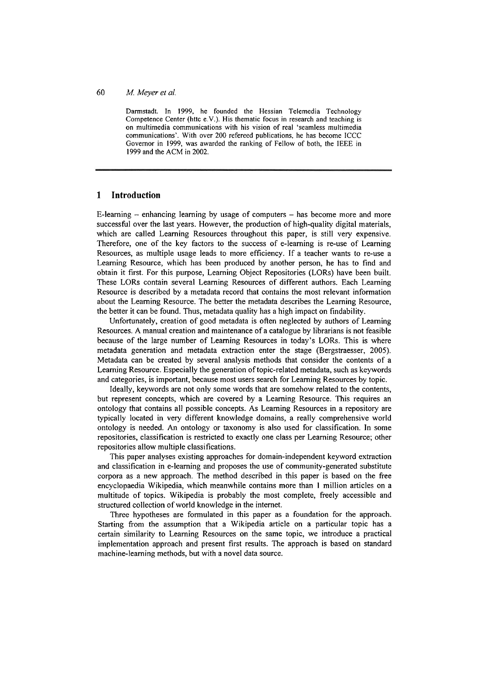Darmstadt. In 1999, he founded the Hessian Telemedia Technology Competence Center (httc e.V.). His thematic focus in research and teaching is on multimedia comrnunications with his vision of real 'seamless multimedia communications'. With over 200 refereed publications, he has become ICCC Governor in 1999, was awarded the ranking of Fellow of both, the IEEE in 1999 and the ACM in 2002.

# **1 Introduction**

 $E$ -learning  $-$  enhancing learning by usage of computers  $-$  has become more and more successful over the last years. However, the production of high-quality digital materials, which are called Leaming Resources throughout this paper, is still very expensive. Therefore, one of the key factors to the success of e-leaming is re-use of Leaming Resources, as multiple usage leads to more efficiency. If a teacher wants to re-use a Learning Resource, which has been produced by another person, he has to find and obtain it first. For this purpose, Leaming Object Repositories (LORs) have been built. These LORs contain several Leaming Resources of different authors. Each Learning Resource is described by a metadata record that contains the most relevant information about the Learning Resource. The better the metadata describes the Leaming Resource, the better it can be found. Thus, metadata quality has a high impact on findability.

Unfortunately, creation of good metadata is ofien neglected by authors of Leaming Resources. A manual creation and maintenance of a catalogue by librarians is not feasible because of the large number of Leaming Resources in today's LORs. This is where metadata generation and metadata extraction enter the Stage (Bergstraesser, 2005). Metadata can be created by several analysis methods that consider the contents of a Leaming Resource. Especially the generation of topic-related metadata, such as keywords and categories, is important, because most Users search for Leaming Resources by topic.

Ideally, keywords are not only some words that are somehow related to the contents, but represent concepts, which are covered by a Learning Resource. This requires an ontology that contains all possible concepts. As Leaming Resources in a repository are typically located in very different knowledge domains, a really comprehensive world ontology is needed. An ontology or taxonomy is also used for classification. In some repositories, classification is restricted to exactly one class per Leaming Resource; other repositories allow multiple classifications.

This paper analyses existing approaches for domain-independent keyword extraction and classification in e-learning and proposes the use of community-generated substitute Corpora as a new approach. The method described in this paper is based on the free encyclopaedia Wikipedia, which meanwhile contains more than **1** million articles on a multitude of topics. Wikipedia is probably the most complete, freely accessible and structured collection of world knowledge in the intemet.

Three hypotheses are formulated in this paper as a foundation for the approach. Starting fiom the assumption that a Wikipedia article on a particular topic has a certain similarity to Leaming Resources on the Same topic, we introduce a practical implementation approach and present first results. The approach is based on standard machine-learning methods, but with a novel data source.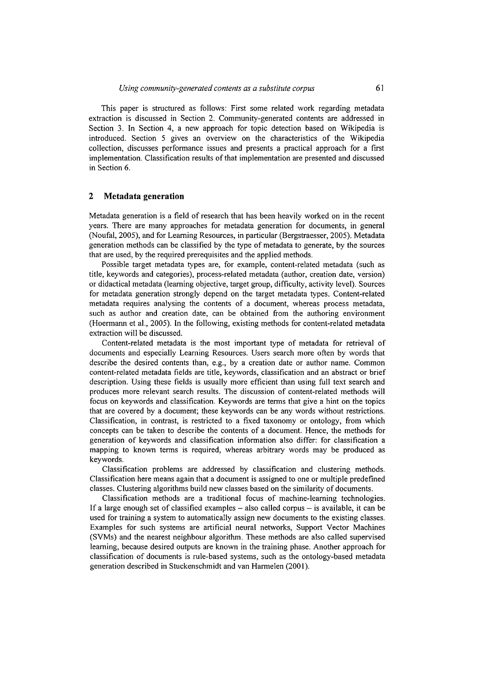This paper is structured as follows: First some related work regarding metadata extraction is discussed in Section 2. Community-generated contents are addressed in Section **3.** In Section 4, a new approach for topic detection based on Wikipedia is introduced. Section 5 gives an overview on the characteristics of the Wikipedia collection, discusses performance issues and presents a practical approach for a frst implementation. Classification results of that implementation are presented and discussed in Section *6.* 

## **2 Metadata generation**

Metadata generation is a field of research that has been heavily worked on in the recent years. There are many approaches for metadata generation for documents, in general (Noufal, 2005), and for Leaming Resources, in particular (Bergstraesser, 2005). Metadata generation methods can be classified by the type of metadata to generate, by the sources that are used, by the required prerequisites and the applied methods.

Possible target metadata types are, for example, content-related metadata (such as title, keywords and categories), process-related metadata (author, creation date, version) or didactical metadata (learning objective, target group, difficulty, activity level). Sources for metadata generation strongly depend on the target metadata types. Content-related metadata requires analysing the contents of a document, whereas process metadata, such as author and creation date, can be obtained from the authoring environment (Hoermann et al., 2005). In the following, existing methods for content-related metadata extraction will be discussed.

Content-related metadata is the most important type of metadata for retrieval of documents and especially Learning Resources. Users search more often by words that describe the desired contents than, e.g., by a creation date or author name. Common content-related metadata fields are title, keywords, classification and an abstract or brief description. Using these fields is usually more efficient than using full text search and produces more relevant search results. The discussion of content-related methods will focus on keywords and classification. Keywords are terms that give a hint on the topics that are covered by a document; these keywords can be any words without restrictions. Classification, in contrast, is restricted to a fixed taxonomy or ontology, from which concepts can be taken to describe the contents of a document. Hence, the methods for generation of keywords and classification information also differ: for classification a mapping to known terms is required, whereas arbitrary words may be produced as keywords.

Classification problems are addressed by classification and clustering methods. Classification here means again that a document is assigned to one or multiple predefined classes. Clustering algorithms build new classes based on the similarity of documents.

Classification methods are a traditional focus of machine-leaming technologies. If a large enough set of classified examples  $-$  also called corpus  $-$  is available, it can be used for training a System to automatically assign new documents to the existing classes. Examples for such systems are artificial neural networks, Support Vector Machines (SVMs) and the nearest neighbour algorithm. These methods are also called supervised leaming, because desired outputs are known in the training phase. Another approach for classification of documents is rule-based systems, such as the ontology-based metadata generation described in Stuckenschmidt and van Harmelen (2001).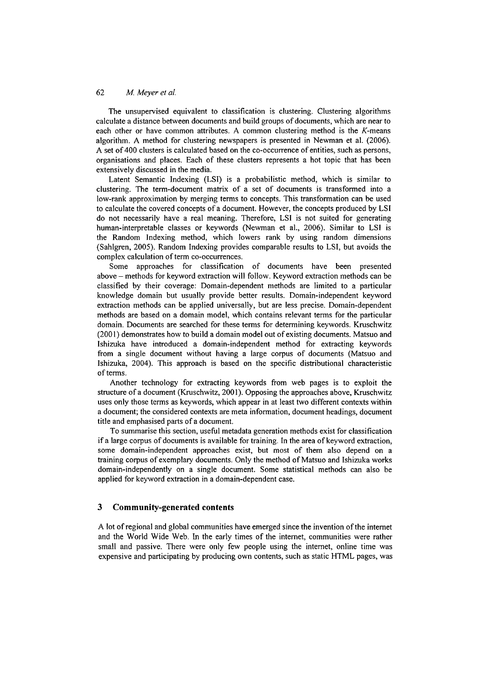The unsupervised equivalent to classification is clustering. Clustering algorithms calculate a distance between documents and build groups of documents, which are near to each other or have common attributes. A common clustering method is the K-means algorithm. **A** method for clustering newspapers is presented in Newman et al. (2006). **A** set of 400 clusters is calculated based on the CO-occurrence of entities, such as persons, organisations and places. Each of these clusters represents a hot topic that has been extensively discussed in the media.

Latent Semantic Indexing (LSI) is a probabilistic method, which is similar to clustering. The term-document matrix of a set of documents is transformed into a low-rank approximation by merging terms to concepts. This transformation can be used to calculate the covered concepts of a document. However, the concepts produced by LSI do not necessarily have a real meaning. Therefore, LSI is not suited for generating human-interpretable classes or keywords (Newman et al., 2006). Similar to LSI is the Random Indexing method, which lowers rank by using random dimensions (Sahlgren, 2005). Random Indexing provides comparable results to LSI, but avoids the complex calculation of term co-occurrences.

Some approaches for classification of documents have been presented above - methods for keyword extraction will follow. Keyword extraction methods can be classified by their coverage: Domain-dependent methods are limited to a particular knowledge domain but usually provide better results. Domain-independent keyword extraction methods can be applied universally, but are less precise. Domain-dependent methods are based on a domain model, which contains relevant terms for the particular domain. Documents are searched for these terms for determining keywords. Kruschwitz (200 1) demonstrates how to build a domain model out of existing documents. Matsuo and Ishizuka have introduced a domain-independent method for extracting keywords from a single document without having a large corpus of documents (Matsuo and Ishizuka, 2004). This approach is based on the specific distributional characteristic of terms.

Another technology for extracting keywords from web pages is to exploit the structure of a document (Kruschwitz, 2001). Opposing the approaches above, Kruschwitz uses only those terms as keywords, which appear in at least two different contexts within a document; the considered contexts are meta information, document headings, document title and emphasised parts of a document.

To summarise this section, usefil metadata generation methods exist for classification if a large corpus of documents is available for training. In the area of keyword extraction, some domain-independent approaches exist, but most of them also depend on a training corpus of exemplary documents. Only the method of Matsuo and Ishizuka works domain-independently on a single document. Some statistical methods can also be applied for keyword extraction in a domain-dependent case.

# **3 Community-generated contents**

**A** lot of regional and global communities have emerged since the invention of the intemet and the World Wide Web. in the early times of the intemet, communities were rather small and passive. There were only few people using the intemet, online time was expensive and participating by producing own contents, such as static HTML pages, was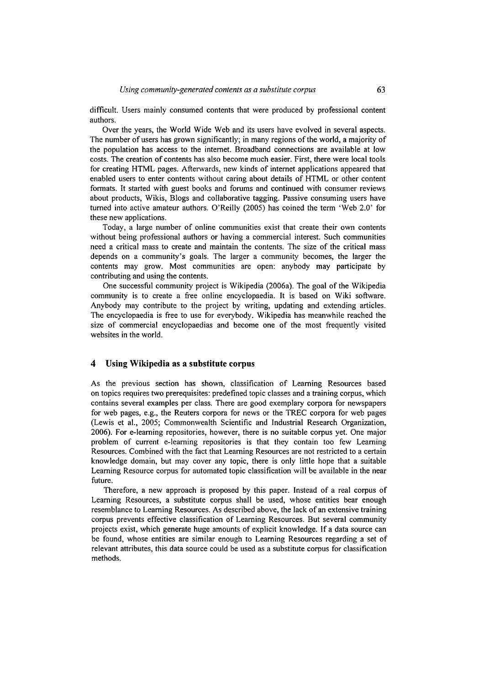difficult. Users mainly consumed contents that were produced by professional content authors.

Over the years, the World Wide Web and its users have evolved in several aspects. The number of users has grown significantly; in many regions of the world, a majority of the population has access to the intemet. Broadband connections are available at low costs. The creation of contents has also become much easier. First, there were local tools for creating HTML pages. Aftenvards, new kinds of internet applications appeared that enabled users to enter contents without caring about details of HTML or other content formats. It started with guest books and forums and continued with consumer reviews about products, Wikis, Blogs and collaborative tagging. Passive consuming users have tumed into active amateur authors. O'Reilly (2005) has coined the term 'Web 2.0' for these new applications.

Today, a large number of online communities exist that create their own contents without being professional authors or having a commercial interest. Such communities need a critical mass to create and maintain the contents. The size of the critical mass depends on a community's goals. The larger a community becomes, the larger the contents may grow. Most communities are Open: anybody may participate by contributing and using the contents.

One successful community project is Wikipedia (2006a). The goal of the Wikipedia community is to create a free online encyclopaedia. It is based on Wiki software. Anybody may contribute to the project by writing, updating and extending articles. The encyclopaedia is fiee to use for everybody. Wikipedia has meanwhile reached the size of commercial encyclopaedias and become one of the most frequently visited websites in the world.

# **4 Using Wikipedia as a substitute corpus**

As the previous section has shown, classification of Leaming Resources based on topics requires two prerequisites: predefined topic classes and a training corpus, which contains several examples per class. There are good exemplary corpora for newspapers for web pages, e.g., the Reuters corpora for news or the TREC corpora for web pages (Lewis et al., 2005; Commonwealth Scientific and Industrial Research Organization, 2006). For e-leaming repositories, however, there is no suitable corpus yet. One major problem of current e-leaming repositories is that they contain too few Learning Resources. Combined with the fact that Leaming Resources are not restricted to a certain knowledge domain, but may Cover any topic, there is only little hope that a suitable Leaming Resource corpus for automated topic classification will be available in the near future.

Therefore, a new approach is proposed by this paper. Instead of a real corpus of Learning Resources, a substitute corpus shall be used, whose entities bear enough resemblance to Leaming Resources. As described above, the lack of an extensive training corpus prevents effective classification of Learning Resources. But several community projects exist, which generate huge amounts of explicit knowledge. If a data source can be found, whose entities are similar enough to Learning Resources regarding a set of relevant attributes, this data source could be used as a substitute corpus for classification methods.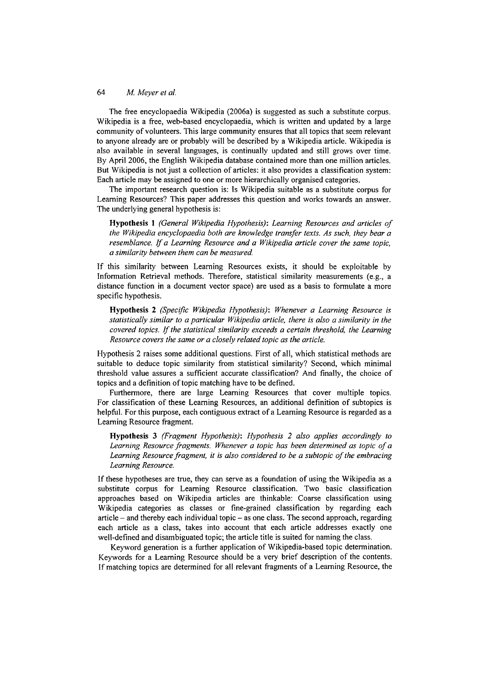The fiee encyclopaedia Wikipedia (2006a) is suggested as such a substitute corpus. Wikipedia is a free, web-based encyclopaedia, which is written and updated by a large community of volunteers. This large community ensures that all topics that seem relevant to anyone already are or probably will be described by a Wikipedia article. Wikipedia is also available in several languages, is continually updated and still grows over time. By April 2006, the English Wikipedia database contained more than one million articles. But Wikipedia is not just a collection of articles: it also provides a classification system: Each article may be assigned to one or more hierarchically organised categories.

The important research question is: 1s Wikipedia suitable as a substitute corpus for Leaming Resources? This paper addresses this question and works towards an answer. The underlying general hypothesis is:

Hypothesis 1 *(General Wikipedia Hypothesis): Learning Resources und articles of the Wikipedia encyclopaedia both are knowledge transfer texts. As such, they bear a*  resemblance. If a Learning Resource and a Wikipedia article cover the same topic,  $a$  similarity between them can be measured.

If this similarity between Learning Resources exists, it should be exploitable by Information Retrieval methods. Therefore, statistical similarity measurements (e.g., a distance function in a docurnent vector space) are used as a basis to formulate a more specific hypothesis.

Hypothesis **2** *(Specrfic Wikipedia Hypothesis): Whenever a Learning Resource is statistically similar to a particular Wikipedia article, there is also a similarity in the covered topics.* If *the statistical similarity exceeds a certain threshold, the Learning Resource covers the same or a closely related topic as rhe article.* 

Hypothesis 2 raises some additional questions. First of all, which statistical methods are suitable to deduce topic similarity from statistical similarity? Second, which minimal threshold value assures a sufficient accurate classification? And finally, the choice of topics and a definition of topic matching have to be defined.

Furthermore, there are large Leaming Resources that cover multiple topics. For classification of these Leaming Resources, an additional definition of subtopics is helpful. For this purpose, each contiguous extract of a Leaming Resource is regarded as a Leaming Resource fragment.

Hypothesis *3 (Fragment Hypothesis): Hypothesis 2 also applies accordingly to Learning Resource fragments. Whenever a topic has been determined as topic of a*  Learning Resource fragment, it is also considered to be a subtopic of the embracing *Learning Resource.* 

If these hypotheses are true, they can serve as a foundation of using the Wikipedia as a substitute corpus for Leaming Resource classification. Two basic classification approaches based on Wikipedia articles are thinkable: Coarse classification using Wikipedia categories as classes or fine-grained classification by regarding each  $article - and thereby each individual topic - as one class. The second approach, regarding$ each article as a class, takes into account that each article addresses exactly one well-defined and disambiguated topic; the article title is suited for naming the class.

Keyword generation is a further application of Wikipedia-based topic determination. Keywords for a Leaming Resource should be a very brief description of the contents. If matching topics are determined for all relevant fiagments of a Leaming Resource, the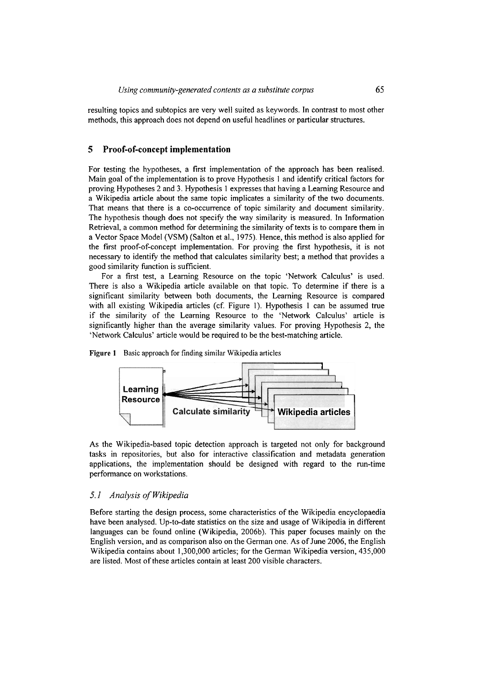resulting topics and subtopics are very well suited as keywords. In contrast to most other methods, this approach does not depend on usefül headlines or particular structures.

# **5 Proof-of-concept implementation**

For testing the hypotheses, a first implementation of the approach has been realised. Main goal of the implementation is to prove Hypothesis 1 and identify critical factors for proving Hypotheses 2 and 3. Hypothesis 1 expresses that having a Learning Resource and a Wikipedia article about the same topic implicates a similarity of the two documents. That means that there is a co-occurrence of topic similarity and document similarity. The hypothesis though does not specify the way similarity is measured. In Information Retrieval, a common method for determining the similarity of texts is to compare them in a Vector Space Model (VSM) (Salton et al., 1975). Hence, this method is also applied for the first proof-of-concept implementation. For proving the frst hypothesis, it is not necessary to identify the method that calculates similarity best; a method that provides a good similarity function is sufficient.

For a first test, a Learning Resource on the topic 'Network Calculus' is used. There is also a Wikipedia article available on that topic. To determine if there is a significant similarity between both documents, the Learning Resource is compared with all existing Wikipedia articles (cf. Figure 1). Hypothesis 1 can be assumed true if the similarity of the Leaming Resource to the 'Network Calculus' article is significantly higher than the average similarity values. For proving Hypothesis 2, the 'Network Calculus' article would be required to be the best-matching article.



**Figure 1** Basic approach for finding similar Wikipedia articles

As the Wikipedia-based topic detection approach is targeted not only for background tasks in repositories, but also for interactive classification and metadata generation applications, the implementation should be designed with regard to the run-time performance on workstations.

#### *5.1 Analysis of Wikipedia*

Before starting the design process, some characteristics of the Wikipedia encyclopaedia have been analysed. Up-to-date statistics on the size and usage of Wikipedia in different languages can be found online (Wikipedia, 2006b). This paper focuses mainly on the English version, and as comparison also on the German one. As of June 2006, the English Wikipedia contains about 1,300,000 articles; for the German Wikipedia version, 435,000 are listed. Most of these articles contain at least 200 visible characters.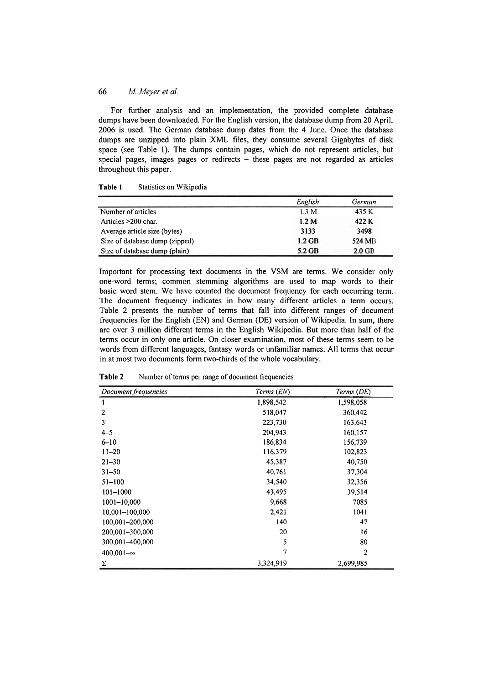For further analysis and an implementation, the provided complete database dumps have been downloaded. For the English version, the database dump fiom **20** April, **2006** is used. The German database dump dates fiom the 4 June. Once the database dumps are unzipped into plain XML files, they consume several Gigabytes of disk space (see Table 1). The dumps contain pages, which do not represent articles, but special pages, images pages or redirects  $-$  these pages are not regarded as articles throughout this paper.

Table 1 Statistics on Wikipedia

|                                | English  | German   |
|--------------------------------|----------|----------|
| Number of articles             | 1.3 M    | 435 K    |
| Articles > 200 char.           | 1.2 M    | 422 K    |
| Average article size (bytes)   | 3133     | 3498     |
| Size of database dump (zipped) | $1.2$ GB | 524 MB   |
| Size of database dump (plain)  | 5.2 GB   | $2.0$ GB |

Important for processing text documents in the VSM are terms. We consider only one-word terms; common sternrning algorithms are used to map words to their basic word stem. We have counted the document frequency for each occurring term. The document frequency indicates in how many different articles a term occurs. Table **2** presents the number of terms that fall into different ranges of document frequencies for the English (EN) and German (DE) version of Wikipedia. In sum, there are over **3** million different terms in the English Wikipedia. But more than half of the terms occur in only one article. On closer examination, most of these terms seem to be words from different languages, fantasy words or unfamiliar names. All terms that occur in at most two documents form two-thirds of the whole vocabulary.

| Document frequencies | Terms (EN) | Terms (DE)     |
|----------------------|------------|----------------|
|                      | 1,898,542  | 1,598,058      |
| 2                    | 518,047    | 360,442        |
| 3                    | 223,730    | 163,643        |
| $4 - 5$              | 204.943    | 160,157        |
| $6 - 10$             | 186,834    | 156,739        |
| $11 - 20$            | 116,379    | 102,823        |
| $21 - 30$            | 45,387     | 40,750         |
| $31 - 50$            | 40,761     | 37,304         |
| $51 - 100$           | 34,540     | 32,356         |
| $101 - 1000$         | 43,495     | 39,514         |
| 1001-10,000          | 9,668      | 7085           |
| 10,001-100,000       | 2,421      | 1041           |
| 100,001-200,000      | 140        | 47             |
| 200,001-300,000      | 20         | 16             |
| 300,001-400,000      | 5          | 80             |
| $400,001 - \infty$   | 7          | $\overline{2}$ |
| Σ                    | 3,324,919  | 2,699,985      |

Table 2 Number of terms per range of document frequencies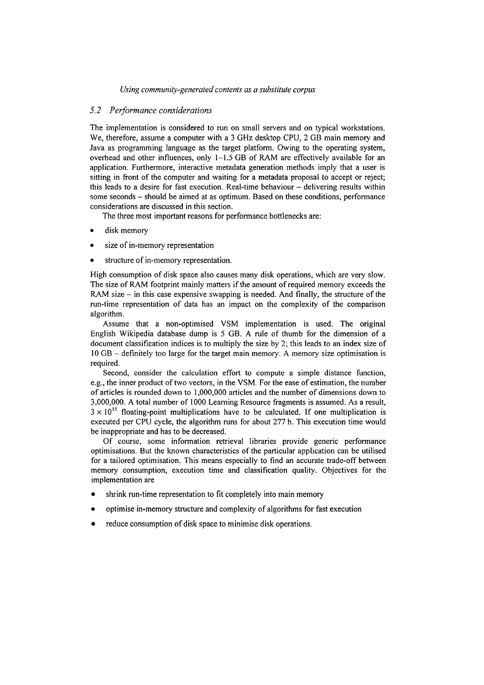*Using communig-generated contents as a substitute Corpus* 

# *5.2 Performance considerations*

The implementation is considered to run on small servers and on typical workstations. We, therefore, assume a computer with a 3 GHz desktop CPU, 2 GB main memory and Java as programming language as the target platform. Owing to the operating system, overhead and other influences, only 1-1.5 GB of **RAM** are effectively available for an application. Furthermore, interactive metadata generation methods imply that a user is sitting in front of the computer and waiting for a metadata proposal to accept or reject; this leads to a desire for fast execution. Real-time behaviour  $-$  delivering results within some seconds – should be aimed at as optimum. Based on these conditions, performance considerations are discussed in this section.

The three most important reasons for performance bottlenecks are:

- disk memory  $\bullet$
- size of in-memory representation  $\bullet$
- structure of in-memory representation.

High consumption of disk space also causes many disk operations, which are very slow. The size of **RAM** footprint mainly matters if the amount of required memory exceeds the RAM size  $-$  in this case expensive swapping is needed. And finally, the structure of the run-time representation of data has an impact on the complexity of the comparison algorithm.

Assume that a non-optimised VSM implementation is used. The original English Wikipedia database dump is *5* GB. A rule of thumb for the dimension of a document classification indices is to multiply the size by 2; this leads to an index size of 10 GB - definitely too large for the target main memory. A memory size optimisation is required.

Second, consider the calculation effort to compute a simple distance function, e.g., the inner product of two vectors, in the VSM. For the ease of estimation, the number of articles is rounded down to 1,000,000 articles and the number of dimensions down to 3,000,000. **A** total number of 1000 Leaming Resource fragments is assumed. As a result,  $3 \times 10^{15}$  floating-point multiplications have to be calculated. If one multiplication is executed per CPU cycle, the algorithm runs for about 277 h. This execution time would be inappropriate and has to be decreased.

Of Course, some information retrieval libraries provide generic performance optimisations. But the known characteristics of the particular application can be utilised for a tailored optimisation. This means especially to find an accurate trade-off between memory consumption, execution time and classification quality. Objectives for the implementation are

- shrink run-time representation to fit completely into main memory
- optimise in-memory structure and complexity of algorithms for fast execution
- reduce consurnption of disk space to minimise disk operations.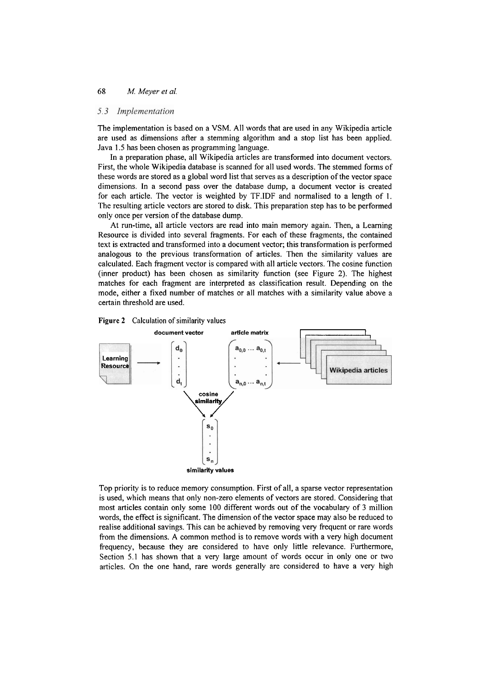#### Implementation  $5.3$

The implementation is based on a VSM. All words that are used in any Wikipedia article are used as dimensions after a stemming algorithrn and a stop list has been applied. Java 1.5 has been chosen as programming language.

In a preparation phase, all Wikipedia articles are transformed into document vectors. First, the whole Wikipedia database is scanned for all used words. The stemmed forms of these words are stored as a global word list that serves as a description of the vector space dimensions. In a second pass over the database dump, a document vector is created for each article. The vector is weighted by TF.IDF and normalised to a length of 1. The resulting article vectors are stored to disk. This preparation step has to be performed only once per version of the database dump.

At run-time, all article vectors are read into main memory again. Then, a Leaming Resource is divided into several fiagments. For each of these fiagments, the contained text is extracted and transformed into a document vector; this transformation is performed analogous to the previous transformation of articles. Then the similarity values are calculated. Each fiagment vector is compared with all article vectors. The cosine function (inner product) has been chosen as similarity function (see Figure 2). The highest matches for each fiagment are interpreted as classification result. Depending on the mode, either a fixed number of matches or all matches with a similarity value above a certain threshold are used.





Top priority is to reduce memory consurnption. First of all, a sparse vector representation is used, which means that only non-zero elements of vectors are stored. Considering that most articles contain only some 100 different words out of the vocabulary of **3** million words, the effect is significant. The dimension of the vector space may also be reduced to realise additional savings. This can be achieved by removing very frequent or rare words fiom the dimensions. A common method is to remove words with a very high document fiequency, because they are considered to have only little relevance. Furthermore, Section 5.1 has shown that a very large amount of words occur in only one or two articles. On the one hand, rare words generally are considered to have a very high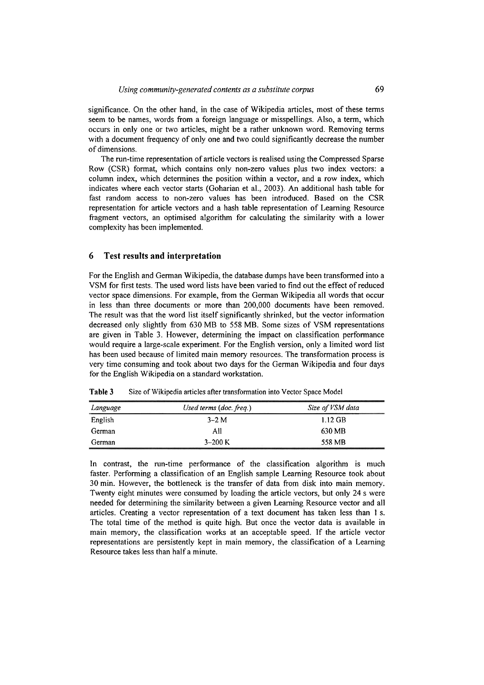significance. On the other hand, in the case of Wikipedia articles, most of these terms seem to be names, words from a foreign language or misspellings. Also, a term, which occurs in only one or two articles, might be a rather unknown word. Removing terms with a document frequency of only one and two could significantly decrease the number of dimensions.

The run-time representation of article vectors is realised using the Compressed Sparse Row (CSR) format, which contains only non-zero values plus two index vectors: a column index, which determines the position within a vector, and a row index, which indicates where each vector starts (Goharian et al., 2003). An additional hash table for fast random access to non-zero values has been introduced. Based on the CSR representation for article vectors and a hash table representation of Leaming Resource fragment vectors, an optimised algorithm for calculating the similarity with a lower complexity has been implemented.

#### **6 Test results and interpretation**

For the English and German Wikipedia, the database dumps have been transformed into a VSM for first tests. The used word lists have been varied to find out the effect of reduced vector space dimensions. For example, from the German Wikipedia all words that occur in less than three documents or more than 200,000 documents have been removed. The result was that the word list itself significantly shrinked, but the vector information decreased only slightly from 630 MB to 558 MB. Some sizes of VSM representations are given in Table 3. However, determining the impact on classification performance would require a large-scale experiment. For the English version, only a limited word list has been used because of limited main memory resources. The transformation process is very time consuming and took about two days for the German Wikipedia and four days for the English Wikipedia on a standard workstation.

| Language | Used terms $(doc. freq.)$ | Size of VSM data |
|----------|---------------------------|------------------|
| English  | $3 - 2M$                  | $1.12$ GB        |
| German   | All                       | 630 MB           |
| German   | $3 - 200$ K               | 558 MB           |

**Table 3** Size of Wikipedia articles after transformation into Vector Space Model

In contrast, the run-time performance of the classification algorithm is much faster. Performing a classification of an English sample Learning Resource took about 30 min. However, the bottleneck is the transfer of data from disk into main memory. Twenty eight minutes were consumed by loading the article vectors, but only 24 s were needed for determining the similarity between a given Leaming Resource vector and all articles. Creating a vector representation of a text document has taken less than 1 s. The total time of the method is quite high. But once the vector data is available in main memory, the classification works at an acceptable speed. If the article vector representations are persistently kept in main memory, the classification of a Learning Resource takes less than half a minute.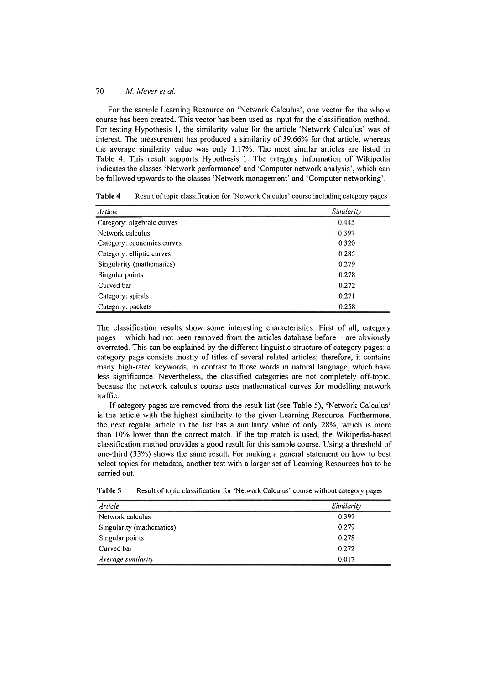For the sample Leaming Resource on 'Network Calculus', one vector for the whole course has been created. This vector has been used as input for the classification method. For testing Hypothesis 1, the similarity value for the article 'Network Calculus' was of interest. The measurement has produced a similarity of 39.66% for that article, whereas the average similarity value was only 1.17%. The most similar articles are listed in Table 4. This result supports Hypothesis 1. The category infomation of Wikipedia indicates the classes 'Network performance' and 'Computer network analysis', which can be followed upwards to the classes 'Network management' and 'Computer networking'.

**Table 4** Result of topic classification for 'Network Calculus' course including category pages

| Article                    | Similarity |
|----------------------------|------------|
| Category: algebraic curves | 0.445      |
| Network calculus           | 0.397      |
| Category: economics curves | 0.320      |
| Category: elliptic curves  | 0.285      |
| Singularity (mathematics)  | 0.279      |
| Singular points            | 0.278      |
| Curved bar                 | 0.272      |
| Category: spirals          | 0.271      |
| Category: packets          | 0.258      |

The classification results show some interesting characteristics. First of all, category pages  $-$  which had not been removed from the articles database before  $-$  are obviously overrated. This can be explained by the different linguistic structure of category pages: a category Page consists mostly of titles of several related articles; therefore, it contains many high-rated keywords, in contrast to those words in natural language, which have less significance. Nevertheless, the classified categories are not completely off-topic, because the network calculus course uses mathematical curves for modelling network traffic.

If category pages are removed fiom the result list (see Table 5), 'Network Calculus' is the article with the highest similarity to the given Leaming Resource. Furthermore, the next regular article in the list has a sirnilarity value of only **28%,** which is more than 10% lower than the correct match. If the top match is used, the Wikipedia-based classification method provides a good result for this sample course. Using a threshold of one-third (33%) shows the same result. For making a general statement on how to best select topics for metadata, another test with a larger set of Learning Resources has to be carried out.

**Table 5** Result of topic classification for 'Network Calculus' course without category pages

| Article                   | Similarity |
|---------------------------|------------|
| Network calculus          | 0.397      |
| Singularity (mathematics) | 0.279      |
| Singular points           | 0.278      |
| Curved bar                | 0.272      |
| Average similarity        | 0.017      |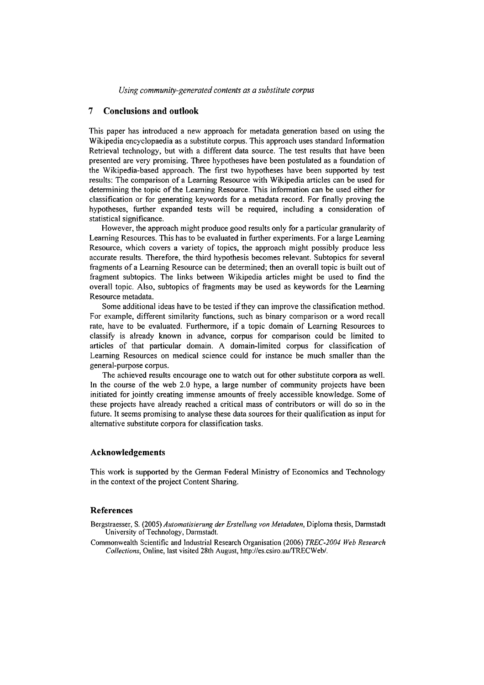*Using community-genernted contents* as *a substitute corpus* 

# **7 Conclusions and outlook**

This paper has introduced a new approach for metadata generation based on using the Wikipedia encyclopaedia as a substitute corpus. This approach uses standard Information Retrieval technology, but with a different data source. The test results that have been presented are very promising. Three hypotheses have been postulated as a foundation of the Wikipedia-based approach. The first two hypotheses have been supported by test results: The comparison of a Leaming Resource with Wikipedia articles can be used for determining the topic of the Leaming Resource. This information can be used either for classification or for generating keywords for a metadata record. For finally proving the hypotheses, further expanded tests will be required, including a consideration of statistical significance.

However, the approach might produce good results only for a particular granularity of Leaming Resources. This has to be evaluated in further experiments. For a large Leaming Resource, which covers a variety of topics, the approach might possibly produce less accurate results. Therefore, the third hypothesis becomes relevant. Subtopics for several fragments of a Learning Resource can be determined; then an overall topic is built out of fragment subtopics. The links between Wikipedia articles might be used to find the overall topic. Also, subtopics of fiagments may be used as keywords for the Leaming Resource metadata.

Some additional ideas have to be tested if they can improve the classification method. For example, different similarity functions, such as binary comparison or a word recall rate, have to be evaluated. Furthermore, if a topic domain of Learning Resources to classify is already known in advance, corpus for comparison could be limited to articles of that particular domain. **A** domain-limited corpus for classification of Leaming Resources on medical science could for instance be much smaller than the general-purpose corpus.

The achieved results encourage one to watch out for other substitute corpora as well. In the course of the web 2.0 hype, a large number of community projects have been initiated for jointly creating immense amounts of freely accessible knowledge. Some of these projects have already reached a critical mass of contributors or will do so in the future. It seems promising to analyse these data sources for their qualification as input for alternative substitute corpora for classification tasks.

### **Acknowledgements**

This work is supported by the German Federal Ministry of Economics and Technology in the context of the project Content Sharing.

# **References**

- Bergstraesser, S. (2005) *Automatisierung der Erstellung von Metadaten,* Diplorna thesis, Darmstadt University of Technology, Darmstadt.
- Commonwealth Scientific and lndustrial Research Organisation (2006) *TREC-2004 Web Research Collections,* Online, last visited 28th August, http://es.csiro.auTTRECWeb/.